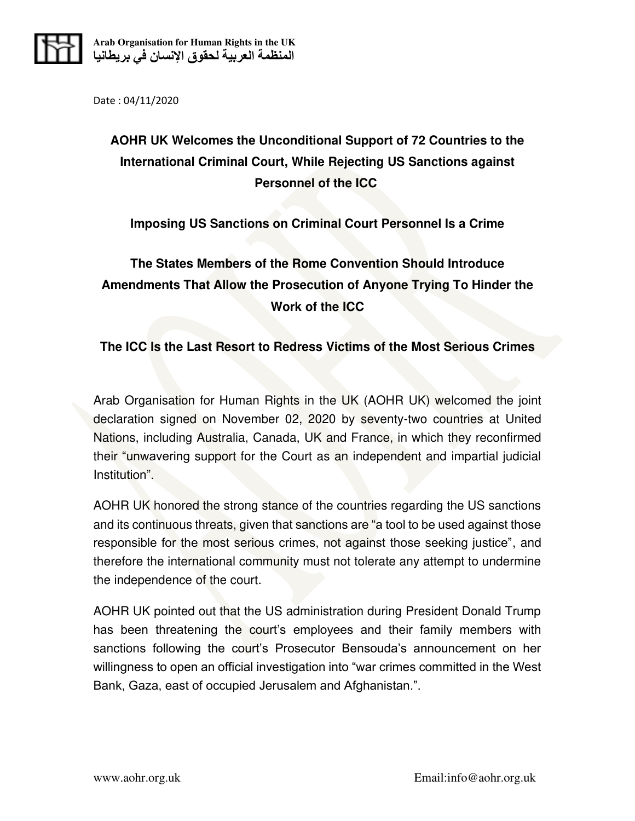

Date : 04/11/2020

## **AOHR UK Welcomes the Unconditional Support of 72 Countries to the International Criminal Court, While Rejecting US Sanctions against Personnel of the ICC**

## **Imposing US Sanctions on Criminal Court Personnel Is a Crime**

## **The States Members of the Rome Convention Should Introduce Amendments That Allow the Prosecution of Anyone Trying To Hinder the Work of the ICC**

## **The ICC Is the Last Resort to Redress Victims of the Most Serious Crimes**

Arab Organisation for Human Rights in the UK (AOHR UK) welcomed the joint declaration signed on November 02, 2020 by seventy-two countries at United Nations, including Australia, Canada, UK and France, in which they reconfirmed their "unwavering support for the Court as an independent and impartial judicial Institution".

AOHR UK honored the strong stance of the countries regarding the US sanctions and its continuous threats, given that sanctions are "a tool to be used against those responsible for the most serious crimes, not against those seeking justice", and therefore the international community must not tolerate any attempt to undermine the independence of the court.

AOHR UK pointed out that the US administration during President Donald Trump has been threatening the court's employees and their family members with sanctions following the court's Prosecutor Bensouda's announcement on her willingness to open an official investigation into "war crimes committed in the West Bank, Gaza, east of occupied Jerusalem and Afghanistan.".